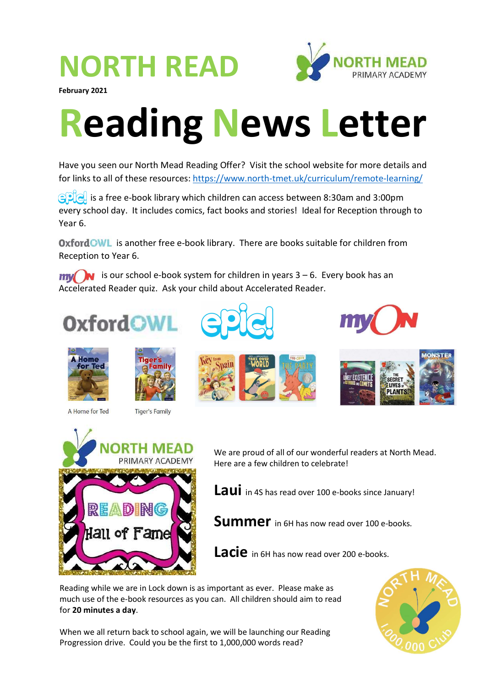## NORTH READ



February 2021

## Reading News Letter

Have you seen our North Mead Reading Offer? Visit the school website for more details and for links to all of these resources: https://www.north-tmet.uk/curriculum/remote-learning/

 $\mathbb{C}[\mathbb{R}]$  is a free e-book library which children can access between 8:30am and 3:00pm every school day. It includes comics, fact books and stories! Ideal for Reception through to Year 6.

Oxford GWL is another free e-book library. There are books suitable for children from Reception to Year 6.

 $\mathbf{m}$  is our school e-book system for children in years 3 – 6. Every book has an Accelerated Reader quiz. Ask your child about Accelerated Reader.

## **OxfordOW**



A Home for Ted













We are proud of all of our wonderful readers at North Mead. Here are a few children to celebrate!

Laui in 4S has read over 100 e-books since January!

**Summer** in 6H has now read over 100 e-books.

Lacie in 6H has now read over 200 e-books.

Reading while we are in Lock down is as important as ever. Please make as much use of the e-book resources as you can. All children should aim to read for 20 minutes a day.

When we all return back to school again, we will be launching our Reading Progression drive. Could you be the first to 1,000,000 words read?